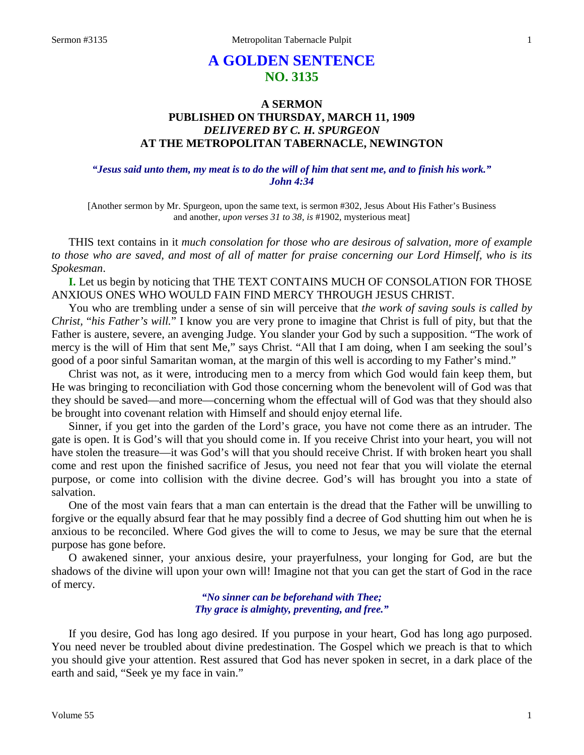# **A GOLDEN SENTENCE NO. 3135**

# **A SERMON PUBLISHED ON THURSDAY, MARCH 11, 1909** *DELIVERED BY C. H. SPURGEON* **AT THE METROPOLITAN TABERNACLE, NEWINGTON**

# *"Jesus said unto them, my meat is to do the will of him that sent me, and to finish his work." John 4:34*

[Another sermon by Mr. Spurgeon, upon the same text, is sermon #302, Jesus About His Father's Business and another, *upon verses 31 to 38, is* #1902, mysterious meat]

THIS text contains in it *much consolation for those who are desirous of salvation, more of example to those who are saved, and most of all of matter for praise concerning our Lord Himself, who is its Spokesman*.

**I.** Let us begin by noticing that THE TEXT CONTAINS MUCH OF CONSOLATION FOR THOSE ANXIOUS ONES WHO WOULD FAIN FIND MERCY THROUGH JESUS CHRIST.

You who are trembling under a sense of sin will perceive that *the work of saving souls is called by Christ,* "*his Father's will.*" I know you are very prone to imagine that Christ is full of pity, but that the Father is austere, severe, an avenging Judge. You slander your God by such a supposition. "The work of mercy is the will of Him that sent Me," says Christ. "All that I am doing, when I am seeking the soul's good of a poor sinful Samaritan woman, at the margin of this well is according to my Father's mind."

Christ was not, as it were, introducing men to a mercy from which God would fain keep them, but He was bringing to reconciliation with God those concerning whom the benevolent will of God was that they should be saved—and more—concerning whom the effectual will of God was that they should also be brought into covenant relation with Himself and should enjoy eternal life.

Sinner, if you get into the garden of the Lord's grace, you have not come there as an intruder. The gate is open. It is God's will that you should come in. If you receive Christ into your heart, you will not have stolen the treasure—it was God's will that you should receive Christ. If with broken heart you shall come and rest upon the finished sacrifice of Jesus, you need not fear that you will violate the eternal purpose, or come into collision with the divine decree. God's will has brought you into a state of salvation.

One of the most vain fears that a man can entertain is the dread that the Father will be unwilling to forgive or the equally absurd fear that he may possibly find a decree of God shutting him out when he is anxious to be reconciled. Where God gives the will to come to Jesus, we may be sure that the eternal purpose has gone before.

O awakened sinner, your anxious desire, your prayerfulness, your longing for God, are but the shadows of the divine will upon your own will! Imagine not that you can get the start of God in the race of mercy.

> *"No sinner can be beforehand with Thee; Thy grace is almighty, preventing, and free."*

If you desire, God has long ago desired. If you purpose in your heart, God has long ago purposed. You need never be troubled about divine predestination. The Gospel which we preach is that to which you should give your attention. Rest assured that God has never spoken in secret, in a dark place of the earth and said, "Seek ye my face in vain."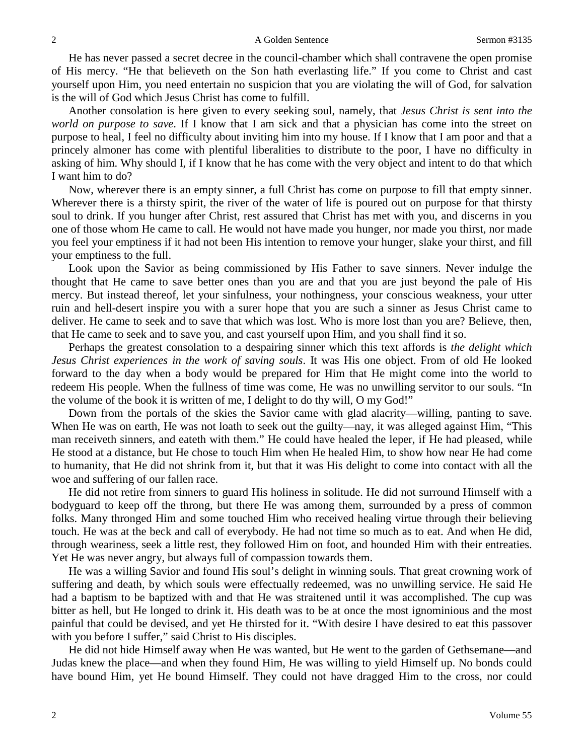He has never passed a secret decree in the council-chamber which shall contravene the open promise of His mercy. "He that believeth on the Son hath everlasting life." If you come to Christ and cast yourself upon Him, you need entertain no suspicion that you are violating the will of God, for salvation is the will of God which Jesus Christ has come to fulfill.

Another consolation is here given to every seeking soul, namely, that *Jesus Christ is sent into the world on purpose to save*. If I know that I am sick and that a physician has come into the street on purpose to heal, I feel no difficulty about inviting him into my house. If I know that I am poor and that a princely almoner has come with plentiful liberalities to distribute to the poor, I have no difficulty in asking of him. Why should I, if I know that he has come with the very object and intent to do that which I want him to do?

Now, wherever there is an empty sinner, a full Christ has come on purpose to fill that empty sinner. Wherever there is a thirsty spirit, the river of the water of life is poured out on purpose for that thirsty soul to drink. If you hunger after Christ, rest assured that Christ has met with you, and discerns in you one of those whom He came to call. He would not have made you hunger, nor made you thirst, nor made you feel your emptiness if it had not been His intention to remove your hunger, slake your thirst, and fill your emptiness to the full.

Look upon the Savior as being commissioned by His Father to save sinners. Never indulge the thought that He came to save better ones than you are and that you are just beyond the pale of His mercy. But instead thereof, let your sinfulness, your nothingness, your conscious weakness, your utter ruin and hell-desert inspire you with a surer hope that you are such a sinner as Jesus Christ came to deliver. He came to seek and to save that which was lost. Who is more lost than you are? Believe, then, that He came to seek and to save you, and cast yourself upon Him, and you shall find it so.

Perhaps the greatest consolation to a despairing sinner which this text affords is *the delight which Jesus Christ experiences in the work of saving souls*. It was His one object. From of old He looked forward to the day when a body would be prepared for Him that He might come into the world to redeem His people. When the fullness of time was come, He was no unwilling servitor to our souls. "In the volume of the book it is written of me, I delight to do thy will, O my God!"

Down from the portals of the skies the Savior came with glad alacrity—willing, panting to save. When He was on earth, He was not loath to seek out the guilty—nay, it was alleged against Him, "This man receiveth sinners, and eateth with them." He could have healed the leper, if He had pleased, while He stood at a distance, but He chose to touch Him when He healed Him, to show how near He had come to humanity, that He did not shrink from it, but that it was His delight to come into contact with all the woe and suffering of our fallen race.

He did not retire from sinners to guard His holiness in solitude. He did not surround Himself with a bodyguard to keep off the throng, but there He was among them, surrounded by a press of common folks. Many thronged Him and some touched Him who received healing virtue through their believing touch. He was at the beck and call of everybody. He had not time so much as to eat. And when He did, through weariness, seek a little rest, they followed Him on foot, and hounded Him with their entreaties. Yet He was never angry, but always full of compassion towards them.

He was a willing Savior and found His soul's delight in winning souls. That great crowning work of suffering and death, by which souls were effectually redeemed, was no unwilling service. He said He had a baptism to be baptized with and that He was straitened until it was accomplished. The cup was bitter as hell, but He longed to drink it. His death was to be at once the most ignominious and the most painful that could be devised, and yet He thirsted for it. "With desire I have desired to eat this passover with you before I suffer," said Christ to His disciples.

He did not hide Himself away when He was wanted, but He went to the garden of Gethsemane—and Judas knew the place—and when they found Him, He was willing to yield Himself up. No bonds could have bound Him, yet He bound Himself. They could not have dragged Him to the cross, nor could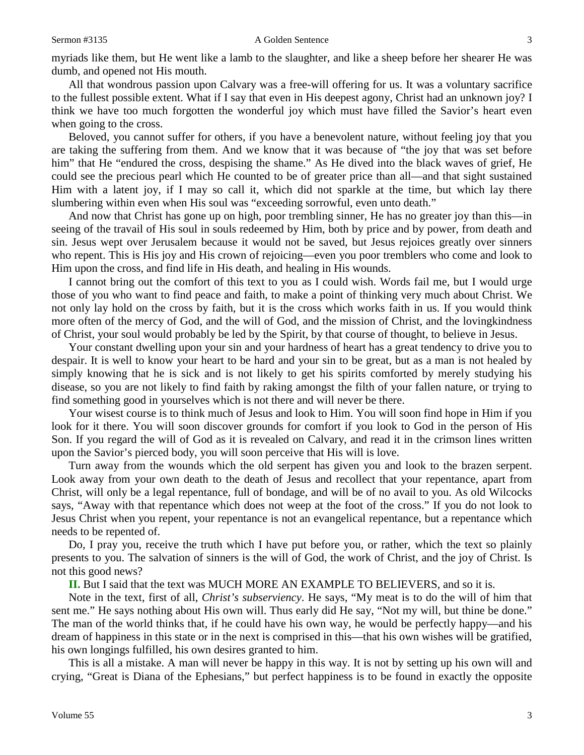myriads like them, but He went like a lamb to the slaughter, and like a sheep before her shearer He was dumb, and opened not His mouth.

All that wondrous passion upon Calvary was a free-will offering for us. It was a voluntary sacrifice to the fullest possible extent. What if I say that even in His deepest agony, Christ had an unknown joy? I think we have too much forgotten the wonderful joy which must have filled the Savior's heart even when going to the cross.

Beloved, you cannot suffer for others, if you have a benevolent nature, without feeling joy that you are taking the suffering from them. And we know that it was because of "the joy that was set before him" that He "endured the cross, despising the shame." As He dived into the black waves of grief, He could see the precious pearl which He counted to be of greater price than all—and that sight sustained Him with a latent joy, if I may so call it, which did not sparkle at the time, but which lay there slumbering within even when His soul was "exceeding sorrowful, even unto death."

And now that Christ has gone up on high, poor trembling sinner, He has no greater joy than this—in seeing of the travail of His soul in souls redeemed by Him, both by price and by power, from death and sin. Jesus wept over Jerusalem because it would not be saved, but Jesus rejoices greatly over sinners who repent. This is His joy and His crown of rejoicing—even you poor tremblers who come and look to Him upon the cross, and find life in His death, and healing in His wounds.

I cannot bring out the comfort of this text to you as I could wish. Words fail me, but I would urge those of you who want to find peace and faith, to make a point of thinking very much about Christ. We not only lay hold on the cross by faith, but it is the cross which works faith in us. If you would think more often of the mercy of God, and the will of God, and the mission of Christ, and the lovingkindness of Christ, your soul would probably be led by the Spirit, by that course of thought, to believe in Jesus.

Your constant dwelling upon your sin and your hardness of heart has a great tendency to drive you to despair. It is well to know your heart to be hard and your sin to be great, but as a man is not healed by simply knowing that he is sick and is not likely to get his spirits comforted by merely studying his disease, so you are not likely to find faith by raking amongst the filth of your fallen nature, or trying to find something good in yourselves which is not there and will never be there.

Your wisest course is to think much of Jesus and look to Him. You will soon find hope in Him if you look for it there. You will soon discover grounds for comfort if you look to God in the person of His Son. If you regard the will of God as it is revealed on Calvary, and read it in the crimson lines written upon the Savior's pierced body, you will soon perceive that His will is love.

Turn away from the wounds which the old serpent has given you and look to the brazen serpent. Look away from your own death to the death of Jesus and recollect that your repentance, apart from Christ, will only be a legal repentance, full of bondage, and will be of no avail to you. As old Wilcocks says, "Away with that repentance which does not weep at the foot of the cross." If you do not look to Jesus Christ when you repent, your repentance is not an evangelical repentance, but a repentance which needs to be repented of.

Do, I pray you, receive the truth which I have put before you, or rather, which the text so plainly presents to you. The salvation of sinners is the will of God, the work of Christ, and the joy of Christ. Is not this good news?

**II.** But I said that the text was MUCH MORE AN EXAMPLE TO BELIEVERS, and so it is.

Note in the text, first of all, *Christ's subserviency*. He says, "My meat is to do the will of him that sent me." He says nothing about His own will. Thus early did He say, "Not my will, but thine be done." The man of the world thinks that, if he could have his own way, he would be perfectly happy—and his dream of happiness in this state or in the next is comprised in this—that his own wishes will be gratified, his own longings fulfilled, his own desires granted to him.

This is all a mistake. A man will never be happy in this way. It is not by setting up his own will and crying, "Great is Diana of the Ephesians," but perfect happiness is to be found in exactly the opposite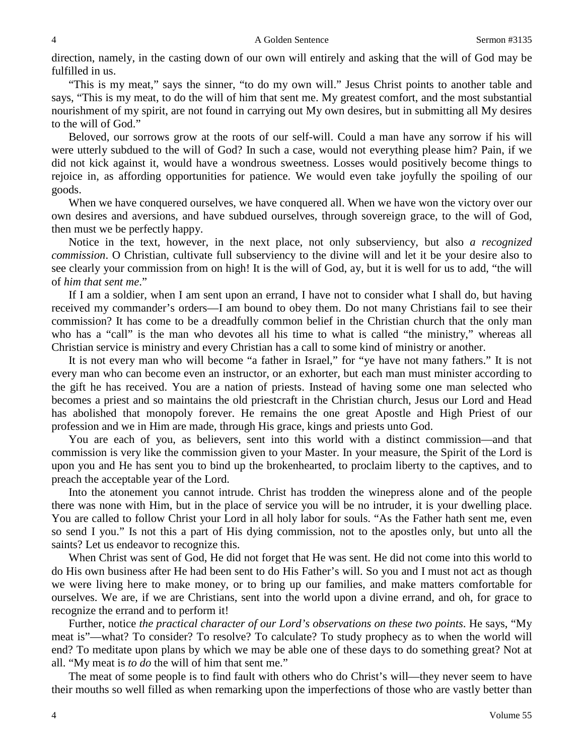direction, namely, in the casting down of our own will entirely and asking that the will of God may be fulfilled in us.

"This is my meat," says the sinner, "to do my own will." Jesus Christ points to another table and says, "This is my meat, to do the will of him that sent me. My greatest comfort, and the most substantial nourishment of my spirit, are not found in carrying out My own desires, but in submitting all My desires to the will of God."

Beloved, our sorrows grow at the roots of our self-will. Could a man have any sorrow if his will were utterly subdued to the will of God? In such a case, would not everything please him? Pain, if we did not kick against it, would have a wondrous sweetness. Losses would positively become things to rejoice in, as affording opportunities for patience. We would even take joyfully the spoiling of our goods.

When we have conquered ourselves, we have conquered all. When we have won the victory over our own desires and aversions, and have subdued ourselves, through sovereign grace, to the will of God, then must we be perfectly happy.

Notice in the text, however, in the next place, not only subserviency, but also *a recognized commission*. O Christian, cultivate full subserviency to the divine will and let it be your desire also to see clearly your commission from on high! It is the will of God, ay, but it is well for us to add, "the will of *him that sent me*."

If I am a soldier, when I am sent upon an errand, I have not to consider what I shall do, but having received my commander's orders—I am bound to obey them. Do not many Christians fail to see their commission? It has come to be a dreadfully common belief in the Christian church that the only man who has a "call" is the man who devotes all his time to what is called "the ministry," whereas all Christian service is ministry and every Christian has a call to some kind of ministry or another.

It is not every man who will become "a father in Israel," for "ye have not many fathers." It is not every man who can become even an instructor, or an exhorter, but each man must minister according to the gift he has received. You are a nation of priests. Instead of having some one man selected who becomes a priest and so maintains the old priestcraft in the Christian church, Jesus our Lord and Head has abolished that monopoly forever. He remains the one great Apostle and High Priest of our profession and we in Him are made, through His grace, kings and priests unto God.

You are each of you, as believers, sent into this world with a distinct commission—and that commission is very like the commission given to your Master. In your measure, the Spirit of the Lord is upon you and He has sent you to bind up the brokenhearted, to proclaim liberty to the captives, and to preach the acceptable year of the Lord.

Into the atonement you cannot intrude. Christ has trodden the winepress alone and of the people there was none with Him, but in the place of service you will be no intruder, it is your dwelling place. You are called to follow Christ your Lord in all holy labor for souls. "As the Father hath sent me, even so send I you." Is not this a part of His dying commission, not to the apostles only, but unto all the saints? Let us endeavor to recognize this.

When Christ was sent of God, He did not forget that He was sent. He did not come into this world to do His own business after He had been sent to do His Father's will. So you and I must not act as though we were living here to make money, or to bring up our families, and make matters comfortable for ourselves. We are, if we are Christians, sent into the world upon a divine errand, and oh, for grace to recognize the errand and to perform it!

Further, notice *the practical character of our Lord's observations on these two points*. He says, "My meat is"—what? To consider? To resolve? To calculate? To study prophecy as to when the world will end? To meditate upon plans by which we may be able one of these days to do something great? Not at all. "My meat is *to do* the will of him that sent me."

The meat of some people is to find fault with others who do Christ's will—they never seem to have their mouths so well filled as when remarking upon the imperfections of those who are vastly better than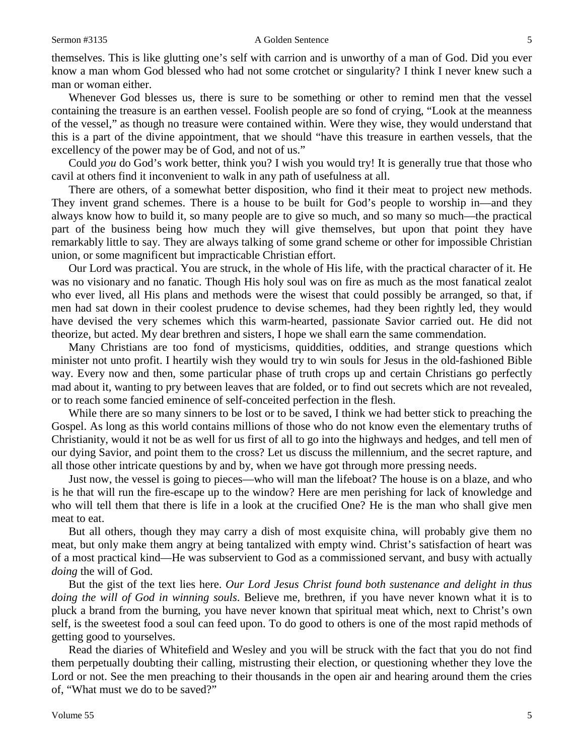### Sermon #3135 A Golden Sentence 5

themselves. This is like glutting one's self with carrion and is unworthy of a man of God. Did you ever know a man whom God blessed who had not some crotchet or singularity? I think I never knew such a man or woman either.

Whenever God blesses us, there is sure to be something or other to remind men that the vessel containing the treasure is an earthen vessel. Foolish people are so fond of crying, "Look at the meanness of the vessel," as though no treasure were contained within. Were they wise, they would understand that this is a part of the divine appointment, that we should "have this treasure in earthen vessels, that the excellency of the power may be of God, and not of us."

Could *you* do God's work better, think you? I wish you would try! It is generally true that those who cavil at others find it inconvenient to walk in any path of usefulness at all.

There are others, of a somewhat better disposition, who find it their meat to project new methods. They invent grand schemes. There is a house to be built for God's people to worship in—and they always know how to build it, so many people are to give so much, and so many so much—the practical part of the business being how much they will give themselves, but upon that point they have remarkably little to say. They are always talking of some grand scheme or other for impossible Christian union, or some magnificent but impracticable Christian effort.

Our Lord was practical. You are struck, in the whole of His life, with the practical character of it. He was no visionary and no fanatic. Though His holy soul was on fire as much as the most fanatical zealot who ever lived, all His plans and methods were the wisest that could possibly be arranged, so that, if men had sat down in their coolest prudence to devise schemes, had they been rightly led, they would have devised the very schemes which this warm-hearted, passionate Savior carried out. He did not theorize, but acted. My dear brethren and sisters, I hope we shall earn the same commendation.

Many Christians are too fond of mysticisms, quiddities, oddities, and strange questions which minister not unto profit. I heartily wish they would try to win souls for Jesus in the old-fashioned Bible way. Every now and then, some particular phase of truth crops up and certain Christians go perfectly mad about it, wanting to pry between leaves that are folded, or to find out secrets which are not revealed, or to reach some fancied eminence of self-conceited perfection in the flesh.

While there are so many sinners to be lost or to be saved, I think we had better stick to preaching the Gospel. As long as this world contains millions of those who do not know even the elementary truths of Christianity, would it not be as well for us first of all to go into the highways and hedges, and tell men of our dying Savior, and point them to the cross? Let us discuss the millennium, and the secret rapture, and all those other intricate questions by and by, when we have got through more pressing needs.

Just now, the vessel is going to pieces—who will man the lifeboat? The house is on a blaze, and who is he that will run the fire-escape up to the window? Here are men perishing for lack of knowledge and who will tell them that there is life in a look at the crucified One? He is the man who shall give men meat to eat.

But all others, though they may carry a dish of most exquisite china, will probably give them no meat, but only make them angry at being tantalized with empty wind. Christ's satisfaction of heart was of a most practical kind—He was subservient to God as a commissioned servant, and busy with actually *doing* the will of God.

But the gist of the text lies here. *Our Lord Jesus Christ found both sustenance and delight in thus doing the will of God in winning souls*. Believe me, brethren, if you have never known what it is to pluck a brand from the burning, you have never known that spiritual meat which, next to Christ's own self, is the sweetest food a soul can feed upon. To do good to others is one of the most rapid methods of getting good to yourselves.

Read the diaries of Whitefield and Wesley and you will be struck with the fact that you do not find them perpetually doubting their calling, mistrusting their election, or questioning whether they love the Lord or not. See the men preaching to their thousands in the open air and hearing around them the cries of, "What must we do to be saved?"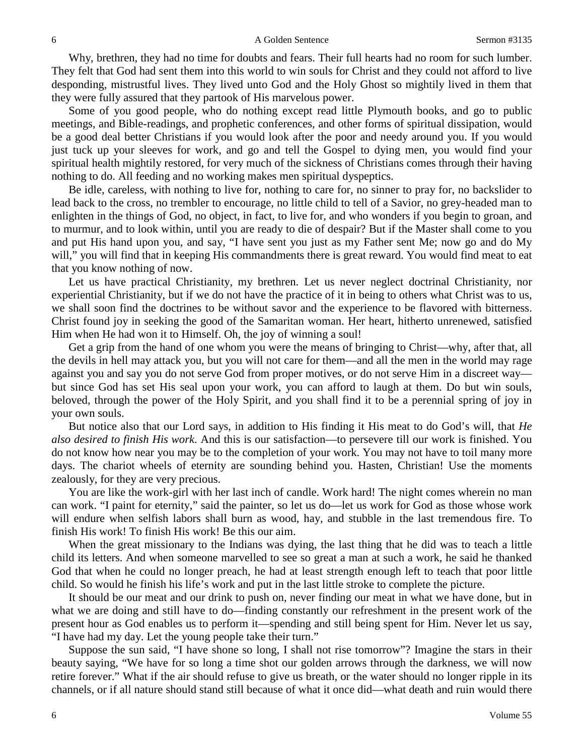Why, brethren, they had no time for doubts and fears. Their full hearts had no room for such lumber. They felt that God had sent them into this world to win souls for Christ and they could not afford to live desponding, mistrustful lives. They lived unto God and the Holy Ghost so mightily lived in them that they were fully assured that they partook of His marvelous power.

Some of you good people, who do nothing except read little Plymouth books, and go to public meetings, and Bible-readings, and prophetic conferences, and other forms of spiritual dissipation, would be a good deal better Christians if you would look after the poor and needy around you. If you would just tuck up your sleeves for work, and go and tell the Gospel to dying men, you would find your spiritual health mightily restored, for very much of the sickness of Christians comes through their having nothing to do. All feeding and no working makes men spiritual dyspeptics.

Be idle, careless, with nothing to live for, nothing to care for, no sinner to pray for, no backslider to lead back to the cross, no trembler to encourage, no little child to tell of a Savior, no grey-headed man to enlighten in the things of God, no object, in fact, to live for, and who wonders if you begin to groan, and to murmur, and to look within, until you are ready to die of despair? But if the Master shall come to you and put His hand upon you, and say, "I have sent you just as my Father sent Me; now go and do My will," you will find that in keeping His commandments there is great reward. You would find meat to eat that you know nothing of now.

Let us have practical Christianity, my brethren. Let us never neglect doctrinal Christianity, nor experiential Christianity, but if we do not have the practice of it in being to others what Christ was to us, we shall soon find the doctrines to be without savor and the experience to be flavored with bitterness. Christ found joy in seeking the good of the Samaritan woman. Her heart, hitherto unrenewed, satisfied Him when He had won it to Himself. Oh, the joy of winning a soul!

Get a grip from the hand of one whom you were the means of bringing to Christ—why, after that, all the devils in hell may attack you, but you will not care for them—and all the men in the world may rage against you and say you do not serve God from proper motives, or do not serve Him in a discreet way but since God has set His seal upon your work, you can afford to laugh at them. Do but win souls, beloved, through the power of the Holy Spirit, and you shall find it to be a perennial spring of joy in your own souls.

But notice also that our Lord says, in addition to His finding it His meat to do God's will, that *He also desired to finish His work*. And this is our satisfaction—to persevere till our work is finished. You do not know how near you may be to the completion of your work. You may not have to toil many more days. The chariot wheels of eternity are sounding behind you. Hasten, Christian! Use the moments zealously, for they are very precious.

You are like the work-girl with her last inch of candle. Work hard! The night comes wherein no man can work. "I paint for eternity," said the painter, so let us do—let us work for God as those whose work will endure when selfish labors shall burn as wood, hay, and stubble in the last tremendous fire. To finish His work! To finish His work! Be this our aim.

When the great missionary to the Indians was dying, the last thing that he did was to teach a little child its letters. And when someone marvelled to see so great a man at such a work, he said he thanked God that when he could no longer preach, he had at least strength enough left to teach that poor little child. So would he finish his life's work and put in the last little stroke to complete the picture.

It should be our meat and our drink to push on, never finding our meat in what we have done, but in what we are doing and still have to do—finding constantly our refreshment in the present work of the present hour as God enables us to perform it—spending and still being spent for Him. Never let us say, "I have had my day. Let the young people take their turn."

Suppose the sun said, "I have shone so long, I shall not rise tomorrow"? Imagine the stars in their beauty saying, "We have for so long a time shot our golden arrows through the darkness, we will now retire forever." What if the air should refuse to give us breath, or the water should no longer ripple in its channels, or if all nature should stand still because of what it once did—what death and ruin would there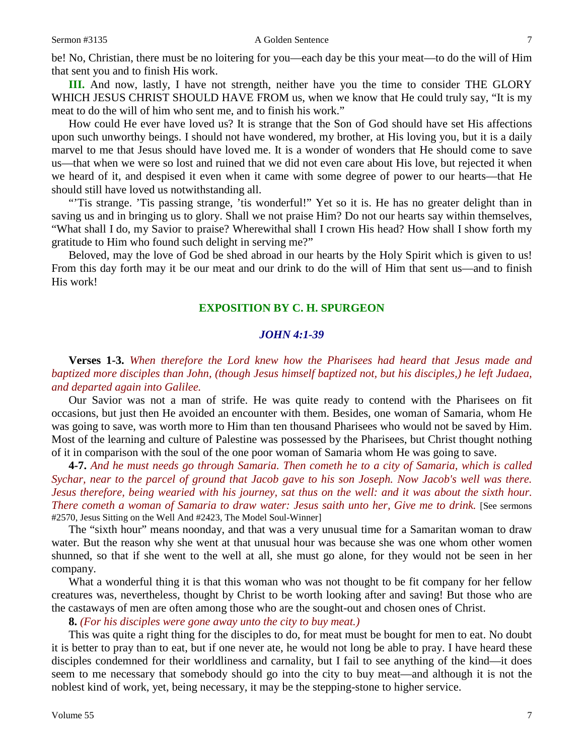be! No, Christian, there must be no loitering for you—each day be this your meat—to do the will of Him that sent you and to finish His work.

**III.** And now, lastly, I have not strength, neither have you the time to consider THE GLORY WHICH JESUS CHRIST SHOULD HAVE FROM us, when we know that He could truly say, "It is my meat to do the will of him who sent me, and to finish his work."

How could He ever have loved us? It is strange that the Son of God should have set His affections upon such unworthy beings. I should not have wondered, my brother, at His loving you, but it is a daily marvel to me that Jesus should have loved me. It is a wonder of wonders that He should come to save us—that when we were so lost and ruined that we did not even care about His love, but rejected it when we heard of it, and despised it even when it came with some degree of power to our hearts—that He should still have loved us notwithstanding all.

"'Tis strange. 'Tis passing strange, 'tis wonderful!" Yet so it is. He has no greater delight than in saving us and in bringing us to glory. Shall we not praise Him? Do not our hearts say within themselves, "What shall I do, my Savior to praise? Wherewithal shall I crown His head? How shall I show forth my gratitude to Him who found such delight in serving me?"

Beloved, may the love of God be shed abroad in our hearts by the Holy Spirit which is given to us! From this day forth may it be our meat and our drink to do the will of Him that sent us—and to finish His work!

## **EXPOSITION BY C. H. SPURGEON**

### *JOHN 4:1-39*

**Verses 1-3.** *When therefore the Lord knew how the Pharisees had heard that Jesus made and baptized more disciples than John, (though Jesus himself baptized not, but his disciples,) he left Judaea, and departed again into Galilee.*

Our Savior was not a man of strife. He was quite ready to contend with the Pharisees on fit occasions, but just then He avoided an encounter with them. Besides, one woman of Samaria, whom He was going to save, was worth more to Him than ten thousand Pharisees who would not be saved by Him. Most of the learning and culture of Palestine was possessed by the Pharisees, but Christ thought nothing of it in comparison with the soul of the one poor woman of Samaria whom He was going to save.

**4-7.** *And he must needs go through Samaria. Then cometh he to a city of Samaria, which is called Sychar, near to the parcel of ground that Jacob gave to his son Joseph. Now Jacob's well was there. Jesus therefore, being wearied with his journey, sat thus on the well: and it was about the sixth hour. There cometh a woman of Samaria to draw water: Jesus saith unto her, Give me to drink.* [See sermons #2570, Jesus Sitting on the Well And #2423, The Model Soul-Winner]

The "sixth hour" means noonday, and that was a very unusual time for a Samaritan woman to draw water. But the reason why she went at that unusual hour was because she was one whom other women shunned, so that if she went to the well at all, she must go alone, for they would not be seen in her company.

What a wonderful thing it is that this woman who was not thought to be fit company for her fellow creatures was, nevertheless, thought by Christ to be worth looking after and saving! But those who are the castaways of men are often among those who are the sought-out and chosen ones of Christ.

**8.** *(For his disciples were gone away unto the city to buy meat.)*

This was quite a right thing for the disciples to do, for meat must be bought for men to eat. No doubt it is better to pray than to eat, but if one never ate, he would not long be able to pray. I have heard these disciples condemned for their worldliness and carnality, but I fail to see anything of the kind—it does seem to me necessary that somebody should go into the city to buy meat—and although it is not the noblest kind of work, yet, being necessary, it may be the stepping-stone to higher service.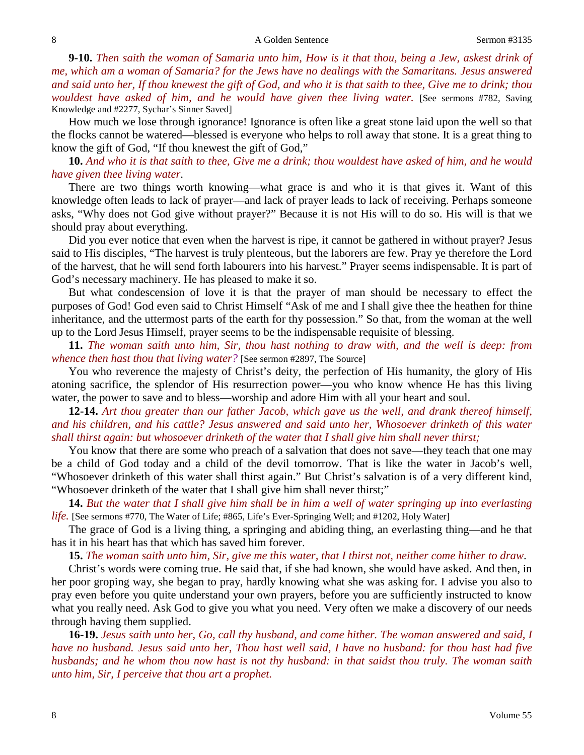**9-10.** *Then saith the woman of Samaria unto him, How is it that thou, being a Jew, askest drink of me, which am a woman of Samaria? for the Jews have no dealings with the Samaritans. Jesus answered and said unto her, If thou knewest the gift of God, and who it is that saith to thee, Give me to drink; thou wouldest have asked of him, and he would have given thee living water.* [See sermons #782, Saving Knowledge and #2277, Sychar's Sinner Saved]

How much we lose through ignorance! Ignorance is often like a great stone laid upon the well so that the flocks cannot be watered—blessed is everyone who helps to roll away that stone. It is a great thing to know the gift of God, "If thou knewest the gift of God,"

**10.** *And who it is that saith to thee, Give me a drink; thou wouldest have asked of him, and he would have given thee living water*.

There are two things worth knowing—what grace is and who it is that gives it. Want of this knowledge often leads to lack of prayer—and lack of prayer leads to lack of receiving. Perhaps someone asks, "Why does not God give without prayer?" Because it is not His will to do so. His will is that we should pray about everything.

Did you ever notice that even when the harvest is ripe, it cannot be gathered in without prayer? Jesus said to His disciples, "The harvest is truly plenteous, but the laborers are few. Pray ye therefore the Lord of the harvest, that he will send forth labourers into his harvest." Prayer seems indispensable. It is part of God's necessary machinery. He has pleased to make it so.

But what condescension of love it is that the prayer of man should be necessary to effect the purposes of God! God even said to Christ Himself "Ask of me and I shall give thee the heathen for thine inheritance, and the uttermost parts of the earth for thy possession." So that, from the woman at the well up to the Lord Jesus Himself, prayer seems to be the indispensable requisite of blessing.

**11.** *The woman saith unto him, Sir, thou hast nothing to draw with, and the well is deep: from whence then hast thou that living water?* [See sermon #2897, The Source]

You who reverence the majesty of Christ's deity, the perfection of His humanity, the glory of His atoning sacrifice, the splendor of His resurrection power—you who know whence He has this living water, the power to save and to bless—worship and adore Him with all your heart and soul.

**12-14.** *Art thou greater than our father Jacob, which gave us the well, and drank thereof himself, and his children, and his cattle? Jesus answered and said unto her, Whosoever drinketh of this water shall thirst again: but whosoever drinketh of the water that I shall give him shall never thirst;*

You know that there are some who preach of a salvation that does not save—they teach that one may be a child of God today and a child of the devil tomorrow. That is like the water in Jacob's well, "Whosoever drinketh of this water shall thirst again." But Christ's salvation is of a very different kind, "Whosoever drinketh of the water that I shall give him shall never thirst;"

**14.** *But the water that I shall give him shall be in him a well of water springing up into everlasting life.* [See sermons #770, The Water of Life; #865, Life's Ever-Springing Well; and #1202, Holy Water]

The grace of God is a living thing, a springing and abiding thing, an everlasting thing—and he that has it in his heart has that which has saved him forever.

**15.** *The woman saith unto him, Sir, give me this water, that I thirst not, neither come hither to draw*.

Christ's words were coming true. He said that, if she had known, she would have asked. And then, in her poor groping way, she began to pray, hardly knowing what she was asking for. I advise you also to pray even before you quite understand your own prayers, before you are sufficiently instructed to know what you really need. Ask God to give you what you need. Very often we make a discovery of our needs through having them supplied.

**16-19.** *Jesus saith unto her, Go, call thy husband, and come hither. The woman answered and said, I have no husband. Jesus said unto her, Thou hast well said, I have no husband: for thou hast had five husbands; and he whom thou now hast is not thy husband: in that saidst thou truly. The woman saith unto him, Sir, I perceive that thou art a prophet.*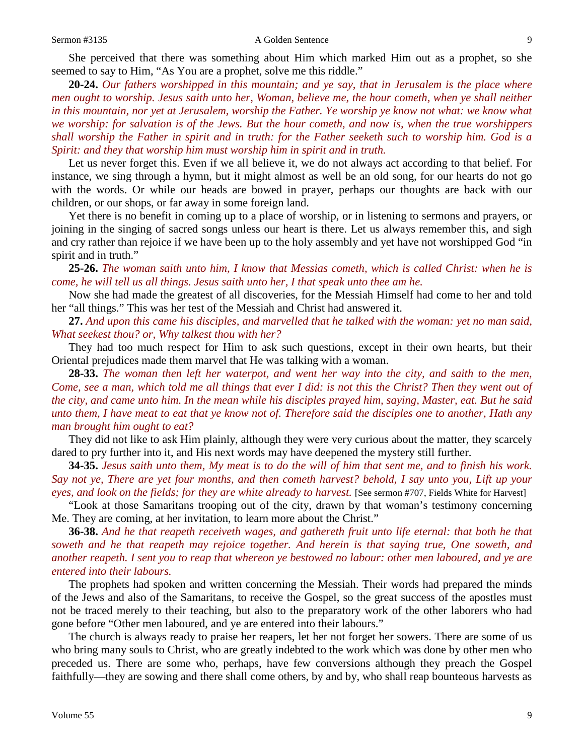She perceived that there was something about Him which marked Him out as a prophet, so she seemed to say to Him, "As You are a prophet, solve me this riddle."

**20-24.** *Our fathers worshipped in this mountain; and ye say, that in Jerusalem is the place where men ought to worship. Jesus saith unto her, Woman, believe me, the hour cometh, when ye shall neither*  in this mountain, nor yet at Jerusalem, worship the Father. Ye worship ye know not what: we know what *we worship: for salvation is of the Jews. But the hour cometh, and now is, when the true worshippers shall worship the Father in spirit and in truth: for the Father seeketh such to worship him. God is a Spirit: and they that worship him must worship him in spirit and in truth.*

Let us never forget this. Even if we all believe it, we do not always act according to that belief. For instance, we sing through a hymn, but it might almost as well be an old song, for our hearts do not go with the words. Or while our heads are bowed in prayer, perhaps our thoughts are back with our children, or our shops, or far away in some foreign land.

Yet there is no benefit in coming up to a place of worship, or in listening to sermons and prayers, or joining in the singing of sacred songs unless our heart is there. Let us always remember this, and sigh and cry rather than rejoice if we have been up to the holy assembly and yet have not worshipped God "in spirit and in truth."

**25-26.** *The woman saith unto him, I know that Messias cometh, which is called Christ: when he is come, he will tell us all things. Jesus saith unto her, I that speak unto thee am he.*

Now she had made the greatest of all discoveries, for the Messiah Himself had come to her and told her "all things." This was her test of the Messiah and Christ had answered it.

**27.** *And upon this came his disciples, and marvelled that he talked with the woman: yet no man said, What seekest thou? or, Why talkest thou with her?*

They had too much respect for Him to ask such questions, except in their own hearts, but their Oriental prejudices made them marvel that He was talking with a woman.

**28-33.** *The woman then left her waterpot, and went her way into the city, and saith to the men, Come, see a man, which told me all things that ever I did: is not this the Christ? Then they went out of the city, and came unto him. In the mean while his disciples prayed him, saying, Master, eat. But he said unto them, I have meat to eat that ye know not of. Therefore said the disciples one to another, Hath any man brought him ought to eat?*

They did not like to ask Him plainly, although they were very curious about the matter, they scarcely dared to pry further into it, and His next words may have deepened the mystery still further.

**34-35.** *Jesus saith unto them, My meat is to do the will of him that sent me, and to finish his work. Say not ye, There are yet four months, and then cometh harvest? behold, I say unto you, Lift up your eyes, and look on the fields; for they are white already to harvest.* [See sermon #707, Fields White for Harvest]

"Look at those Samaritans trooping out of the city, drawn by that woman's testimony concerning Me. They are coming, at her invitation, to learn more about the Christ."

**36-38.** *And he that reapeth receiveth wages, and gathereth fruit unto life eternal: that both he that soweth and he that reapeth may rejoice together. And herein is that saying true, One soweth, and another reapeth. I sent you to reap that whereon ye bestowed no labour: other men laboured, and ye are entered into their labours.*

The prophets had spoken and written concerning the Messiah. Their words had prepared the minds of the Jews and also of the Samaritans, to receive the Gospel, so the great success of the apostles must not be traced merely to their teaching, but also to the preparatory work of the other laborers who had gone before "Other men laboured, and ye are entered into their labours."

The church is always ready to praise her reapers, let her not forget her sowers. There are some of us who bring many souls to Christ, who are greatly indebted to the work which was done by other men who preceded us. There are some who, perhaps, have few conversions although they preach the Gospel faithfully—they are sowing and there shall come others, by and by, who shall reap bounteous harvests as